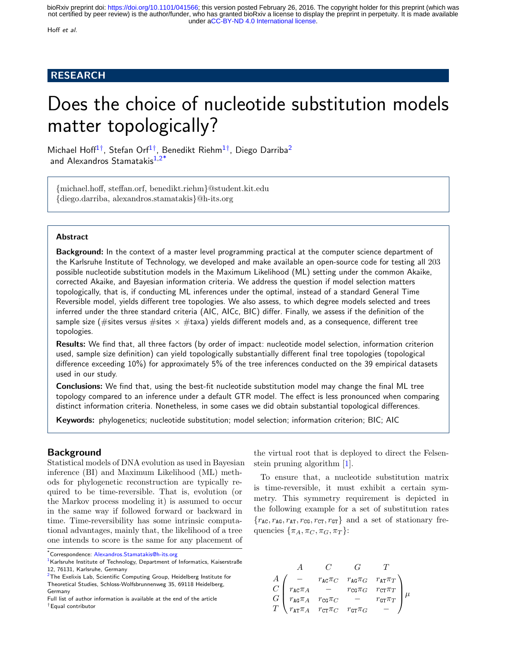Hoff et al.

# RESEARCH

# Does the choice of nucleotide substitution models matter topologically?

Michael Hoff<sup>[1](#page-10-0)[†](#page-0-0)</sup>, Stefan Orf<sup>1†</sup>, Benedikt Riehm<sup>1†</sup>, Diego Darriba<sup>[2](#page-10-1)</sup> and Alexandros Stamatakis $1.2*$  $1.2*$  $1.2*$ 

{michael.hoff, steffan.orf, benedikt.riehm}@student.kit.edu {diego.darriba, alexandros.stamatakis}@h-its.org

## Abstract

Background: In the context of a master level programming practical at the computer science department of the Karlsruhe Institute of Technology, we developed and make available an open-source code for testing all 203 possible nucleotide substitution models in the Maximum Likelihood (ML) setting under the common Akaike, corrected Akaike, and Bayesian information criteria. We address the question if model selection matters topologically, that is, if conducting ML inferences under the optimal, instead of a standard General Time Reversible model, yields different tree topologies. We also assess, to which degree models selected and trees inferred under the three standard criteria (AIC, AICc, BIC) differ. Finally, we assess if the definition of the sample size (#sites versus #sites  $\times$  #taxa) yields different models and, as a consequence, different tree topologies.

Results: We find that, all three factors (by order of impact: nucleotide model selection, information criterion used, sample size definition) can yield topologically substantially different final tree topologies (topological difference exceeding 10%) for approximately 5% of the tree inferences conducted on the 39 empirical datasets used in our study.

Conclusions: We find that, using the best-fit nucleotide substitution model may change the final ML tree topology compared to an inference under a default GTR model. The effect is less pronounced when comparing distinct information criteria. Nonetheless, in some cases we did obtain substantial topological differences.

Keywords: phylogenetics; nucleotide substitution; model selection; information criterion; BIC; AIC

## Background

Statistical models of DNA evolution as used in Bayesian inference (BI) and Maximum Likelihood (ML) methods for phylogenetic reconstruction are typically required to be time-reversible. That is, evolution (or the Markov process modeling it) is assumed to occur in the same way if followed forward or backward in time. Time-reversibility has some intrinsic computational advantages, mainly that, the likelihood of a tree one intends to score is the same for any placement of

the virtual root that is deployed to direct the Felsenstein pruning algorithm [\[1\]](#page-10-2).

To ensure that, a nucleotide substitution matrix is time-reversible, it must exhibit a certain symmetry. This symmetry requirement is depicted in the following example for a set of substitution rates  ${r_{\text{AC}}, r_{\text{AG}}, r_{\text{AT}}, r_{\text{CG}}, r_{\text{CT}}, r_{\text{GT}}$  and a set of stationary frequencies  $\{\pi_A, \pi_C, \pi_G, \pi_T\}$ :



<span id="page-0-1"></span><sup>\*</sup>Correspondence: [Alexandros.Stamatakis@h-its.org](mailto:Alexandros.Stamatakis@h-its.org)

<sup>&</sup>lt;sup>[1](#page-10-0)</sup>Karlsruhe Institute of Technology, Department of Informatics, Kaiserstraße 12, 76131, Karlsruhe, Germany

 $2$ The Exelixis Lab, Scientific Computing Group, Heidelberg Institute for Theoretical Studies, Schloss-Wolfsbrunnenweg 35, 69118 Heidelberg, Germany

<span id="page-0-0"></span>Full list of author information is available at the end of the article †Equal contributor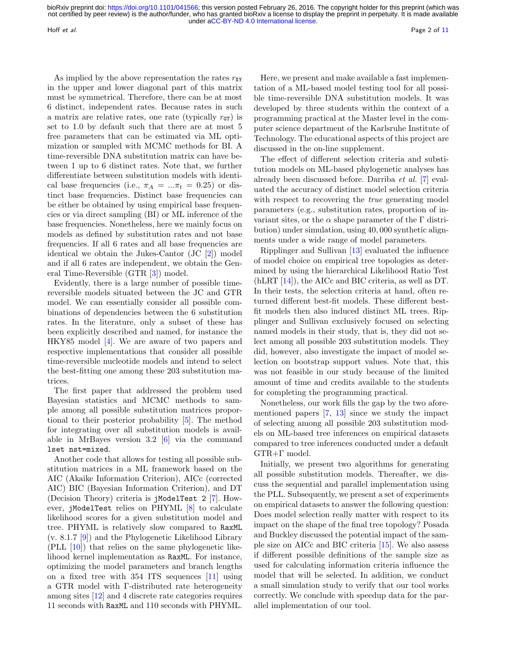As implied by the above representation the rates  $r_{XY}$ in the upper and lower diagonal part of this matrix

must be symmetrical. Therefore, there can be at most 6 distinct, independent rates. Because rates in such a matrix are relative rates, one rate (typically  $r_{GT}$ ) is set to 1.0 by default such that there are at most 5 free parameters that can be estimated via ML optimization or sampled with MCMC methods for BI. A time-reversible DNA substitution matrix can have between 1 up to 6 distinct rates. Note that, we further differentiate between substitution models with identical base frequencies (i.e.,  $\pi_A = ... \pi_t = 0.25$ ) or distinct base frequencies. Distinct base frequencies can be either be obtained by using empirical base frequencies or via direct sampling (BI) or ML inference of the base frequencies. Nonetheless, here we mainly focus on models as defined by substitution rates and not base frequencies. If all 6 rates and all base frequencies are identical we obtain the Jukes-Cantor (JC [\[2\]](#page-10-4)) model and if all 6 rates are independent, we obtain the General Time-Reversible (GTR [\[3\]](#page-10-5)) model.

Evidently, there is a large number of possible timereversible models situated between the JC and GTR model. We can essentially consider all possible combinations of dependencies between the 6 substitution rates. In the literature, only a subset of these has been explicitly described and named, for instance the HKY85 model [\[4\]](#page-10-6). We are aware of two papers and respective implementations that consider all possible time-reversible nucleotide models and intend to select the best-fitting one among these 203 substitution matrices.

The first paper that addressed the problem used Bayesian statistics and MCMC methods to sample among all possible substitution matrices proportional to their posterior probability [\[5\]](#page-10-7). The method for integrating over all substitution models is available in MrBayes version 3.2 [\[6\]](#page-10-8) via the command lset nst=mixed.

Another code that allows for testing all possible substitution matrices in a ML framework based on the AIC (Akaike Information Criterion), AICc (corrected AIC) BIC (Bayesian Information Criterion), and DT (Decision Theory) criteria is jModelTest 2 [\[7\]](#page-10-9). However, jModelTest relies on PHYML [\[8\]](#page-10-10) to calculate likelihood scores for a given substitution model and tree. PHYML is relatively slow compared to RaxML (v. 8.1.7 [\[9\]](#page-10-11)) and the Phylogenetic Likelihood Library (PLL [\[10\]](#page-10-12)) that relies on the same phylogenetic likelihood kernel implementation as RaxML. For instance, optimizing the model parameters and branch lengths on a fixed tree with 354 ITS sequences [\[11\]](#page-10-13) using a GTR model with Γ-distributed rate heterogeneity among sites [\[12\]](#page-10-14) and 4 discrete rate categories requires 11 seconds with RaxML and 110 seconds with PHYML.

Here, we present and make available a fast implementation of a ML-based model testing tool for all possible time-reversible DNA substitution models. It was developed by three students within the context of a programming practical at the Master level in the computer science department of the Karlsruhe Institute of Technology. The educational aspects of this project are discussed in the on-line supplement.

The effect of different selection criteria and substitution models on ML-based phylogenetic analyses has already been discussed before. Darriba et al. [\[7\]](#page-10-9) evaluated the accuracy of distinct model selection criteria with respect to recovering the *true* generating model parameters (e.g., substitution rates, proportion of invariant sites, or the  $\alpha$  shape parameter of the  $\Gamma$  distribution) under simulation, using 40, 000 synthetic alignments under a wide range of model parameters.

Ripplinger and Sullivan [\[13\]](#page-10-15) evaluated the influence of model choice on empirical tree topologies as determined by using the hierarchical Likelihood Ratio Test (hLRT [\[14\]](#page-10-16)), the AICc and BIC criteria, as well as DT. In their tests, the selection criteria at hand, often returned different best-fit models. These different bestfit models then also induced distinct ML trees. Ripplinger and Sullivan exclusively focused on selecting named models in their study, that is, they did not select among all possible 203 substitution models. They did, however, also investigate the impact of model selection on bootstrap support values. Note that, this was not feasible in our study because of the limited amount of time and credits available to the students for completing the programming practical.

Nonetheless, our work fills the gap by the two aforementioned papers [\[7,](#page-10-9) [13\]](#page-10-15) since we study the impact of selecting among all possible 203 substitution models on ML-based tree inferences on empirical datasets compared to tree inferences conducted under a default GTR+Γ model.

Initially, we present two algorithms for generating all possible substitution models. Thereafter, we discuss the sequential and parallel implementation using the PLL. Subsequently, we present a set of experiments on empirical datasets to answer the following question: Does model selection really matter with respect to its impact on the shape of the final tree topology? Posada and Buckley discussed the potential impact of the sample size on AICc and BIC criteria [\[15\]](#page-10-17). We also assess if different possible definitions of the sample size as used for calculating information criteria influence the model that will be selected. In addition, we conduct a small simulation study to verify that our tool works correctly. We conclude with speedup data for the parallel implementation of our tool.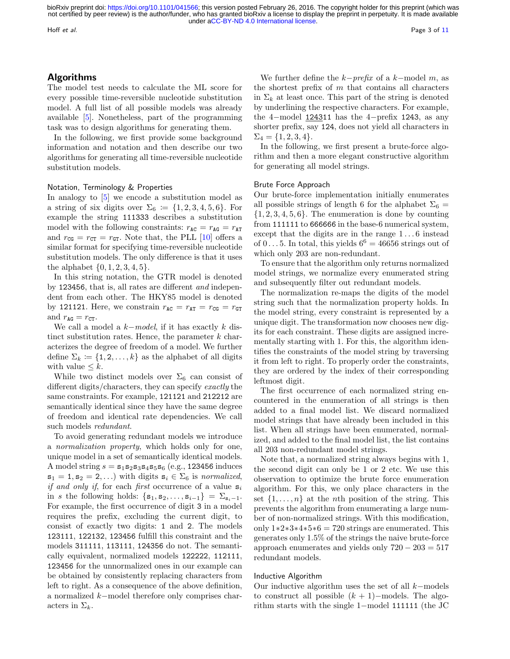# Algorithms

The model test needs to calculate the ML score for every possible time-reversible nucleotide substitution model. A full list of all possible models was already available [\[5\]](#page-10-7). Nonetheless, part of the programming task was to design algorithms for generating them.

In the following, we first provide some background information and notation and then describe our two algorithms for generating all time-reversible nucleotide substitution models.

#### Notation, Terminology & Properties

In analogy to [\[5\]](#page-10-7) we encode a substitution model as a string of six digits over  $\Sigma_6 := \{1, 2, 3, 4, 5, 6\}$ . For example the string 111333 describes a substitution model with the following constraints:  $r_{AC} = r_{AC} = r_{AT}$ and  $r_{\text{CG}} = r_{\text{CT}} = r_{\text{GT}}$ . Note that, the PLL [\[10\]](#page-10-12) offers a similar format for specifying time-reversible nucleotide substitution models. The only difference is that it uses the alphabet  $\{0, 1, 2, 3, 4, 5\}.$ 

In this string notation, the GTR model is denoted by 123456, that is, all rates are different and independent from each other. The HKY85 model is denoted by 121121. Here, we constrain  $r_{AC} = r_{AT} = r_{CG} = r_{GT}$ and  $r_{AG} = r_{CT}$ .

We call a model a  $k-model$ , if it has exactly k distinct substitution rates. Hence, the parameter  $k$  characterizes the degree of freedom of a model. We further define  $\Sigma_k \coloneqq \{1, 2, \ldots, k\}$  as the alphabet of all digits with value  $\leq k$ .

While two distinct models over  $\Sigma_6$  can consist of different digits/characters, they can specify exactly the same constraints. For example, 121121 and 212212 are semantically identical since they have the same degree of freedom and identical rate dependencies. We call such models redundant.

To avoid generating redundant models we introduce a normalization property, which holds only for one, unique model in a set of semantically identical models. A model string  $s = s_1 s_2 s_3 s_4 s_5 s_6$  (e.g., 123456 induces  $s_1 = 1, s_2 = 2, \ldots$ ) with digits  $s_i \in \Sigma_6$  is normalized, if and only if, for each first occurrence of a value  $s_i$ in s the following holds:  $\{s_1, s_2, \ldots, s_{i-1}\} = \Sigma_{s_i-1}.$ For example, the first occurrence of digit 3 in a model requires the prefix, excluding the current digit, to consist of exactly two digits: 1 and 2. The models 123111, 122132, 123456 fulfill this constraint and the models 311111, 113111, 124356 do not. The semantically equivalent, normalized models 122222, 112111, 123456 for the unnormalized ones in our example can be obtained by consistently replacing characters from left to right. As a consequence of the above definition, a normalized k−model therefore only comprises characters in  $\Sigma_k$ .

We further define the  $k-prefix$  of a  $k$ -model m, as the shortest prefix of  $m$  that contains all characters in  $\Sigma_k$  at least once. This part of the string is denoted by underlining the respective characters. For example, the 4-model  $124311$  has the 4-prefix 1243, as any shorter prefix, say 124, does not yield all characters in  $\Sigma_4 = \{1, 2, 3, 4\}.$ 

In the following, we first present a brute-force algorithm and then a more elegant constructive algorithm for generating all model strings.

#### Brute Force Approach

Our brute-force implementation initially enumerates all possible strings of length 6 for the alphabet  $\Sigma_6 =$  $\{1, 2, 3, 4, 5, 6\}$ . The enumeration is done by counting from 111111 to 666666 in the base-6 numerical system, except that the digits are in the range  $1 \dots 6$  instead of 0... 5. In total, this yields  $6^6 = 46656$  strings out of which only 203 are non-redundant.

To ensure that the algorithm only returns normalized model strings, we normalize every enumerated string and subsequently filter out redundant models.

The normalization re-maps the digits of the model string such that the normalization property holds. In the model string, every constraint is represented by a unique digit. The transformation now chooses new digits for each constraint. These digits are assigned incrementally starting with 1. For this, the algorithm identifies the constraints of the model string by traversing it from left to right. To properly order the constraints, they are ordered by the index of their corresponding leftmost digit.

The first occurrence of each normalized string encountered in the enumeration of all strings is then added to a final model list. We discard normalized model strings that have already been included in this list. When all strings have been enumerated, normalized, and added to the final model list, the list contains all 203 non-redundant model strings.

Note that, a normalized string always begins with 1, the second digit can only be 1 or 2 etc. We use this observation to optimize the brute force enumeration algorithm. For this, we only place characters in the set  $\{1, \ldots, n\}$  at the *n*th position of the string. This prevents the algorithm from enumerating a large number of non-normalized strings. With this modification, only  $1*2*3*4*5*6 = 720$  strings are enumerated. This generates only 1.5% of the strings the naive brute-force approach enumerates and yields only  $720 - 203 = 517$ redundant models.

## Inductive Algorithm

Our inductive algorithm uses the set of all  $k$ -models to construct all possible  $(k + 1)$ –models. The algorithm starts with the single 1−model 111111 (the JC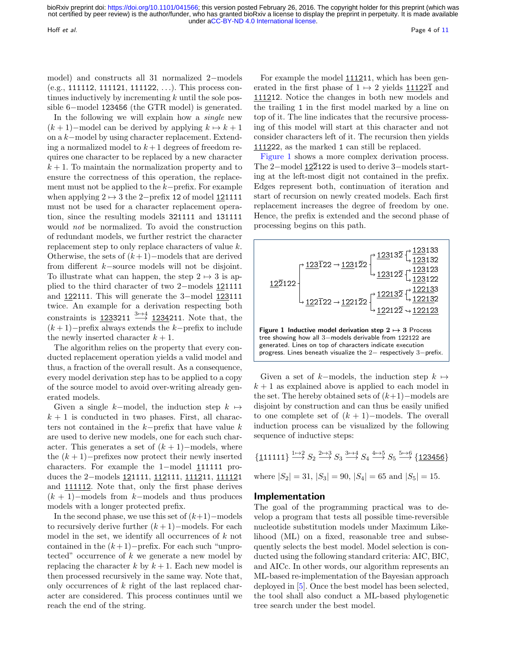model) and constructs all 31 normalized 2−models  $(e.g., 111112, 111121, 111122, ...)$ . This process continues inductively by incrementing  $k$  until the sole possible 6−model 123456 (the GTR model) is generated.

In the following we will explain how a *single* new  $(k + 1)$ –model can be derived by applying  $k \mapsto k + 1$ on a k−model by using character replacement. Extending a normalized model to  $k+1$  degrees of freedom requires one character to be replaced by a new character  $k + 1$ . To maintain the normalization property and to ensure the correctness of this operation, the replacement must not be applied to the k−prefix. For example when applying  $2 \mapsto 3$  the 2−prefix 12 of model 121111 must not be used for a character replacement operation, since the resulting models 321111 and 131111 would not be normalized. To avoid the construction of redundant models, we further restrict the character replacement step to only replace characters of value k. Otherwise, the sets of  $(k+1)$ –models that are derived from different k−source models will not be disjoint. To illustrate what can happen, the step  $2 \mapsto 3$  is applied to the third character of two 2−models 121111 and 122111. This will generate the 3−model 123111 twice. An example for a derivation respecting both constraints is  $\underline{123}3211 \xrightarrow{3\mapsto 4} \underline{1234}211$ . Note that, the  $(k+1)$ −prefix always extends the k−prefix to include the newly inserted character  $k + 1$ .

The algorithm relies on the property that every conducted replacement operation yields a valid model and thus, a fraction of the overall result. As a consequence, every model derivation step has to be applied to a copy of the source model to avoid over-writing already generated models.

Given a single k–model, the induction step  $k \mapsto$  $k + 1$  is conducted in two phases. First, all characters not contained in the k−prefix that have value k are used to derive new models, one for each such character. This generates a set of  $(k + 1)$ –models, where the  $(k + 1)$ −prefixes now protect their newly inserted characters. For example the 1−model 111111 produces the 2−models 121111, 112111, 111211, 111121 and 111112. Note that, only the first phase derives  $(k + 1)$ –models from k–models and thus produces models with a longer protected prefix.

In the second phase, we use this set of  $(k+1)$ –models to recursively derive further  $(k + 1)$ –models. For each model in the set, we identify all occurrences of  $k$  not contained in the  $(k+1)$ −prefix. For each such "unprotected" occurrence of  $k$  we generate a new model by replacing the character k by  $k + 1$ . Each new model is then processed recursively in the same way. Note that, only occurrences of k right of the last replaced character are considered. This process continues until we reach the end of the string.

For example the model  $111211$ , which has been generated in the first phase of  $1 \mapsto 2$  yields 11122 $\overline{1}$  and 111212. Notice the changes in both new models and the trailing 1 in the first model marked by a line on top of it. The line indicates that the recursive processing of this model will start at this character and not consider characters left of it. The recursion then yields 111222, as the marked 1 can still be replaced.

[Figure 1](#page-3-0) shows a more complex derivation process. The 2−model 122122 is used to derive 3−models starting at the left-most digit not contained in the prefix. Edges represent both, continuation of iteration and start of recursion on newly created models. Each first replacement increases the degree of freedom by one. Hence, the prefix is extended and the second phase of processing begins on this path.



<span id="page-3-0"></span>Given a set of k–models, the induction step  $k \mapsto$  $k + 1$  as explained above is applied to each model in the set. The hereby obtained sets of  $(k+1)$ –models are disjoint by construction and can thus be easily unified to one complete set of  $(k + 1)$ –models. The overall induction process can be visualized by the following sequence of inductive steps:

$$
\{ \underline{1}11111\} \stackrel{1\mapsto 2}{\longrightarrow} S_2 \stackrel{2\mapsto 3}{\longrightarrow} S_3 \stackrel{3\mapsto 4}{\longrightarrow} S_4 \stackrel{4\mapsto 5}{\longrightarrow} S_5 \stackrel{5\mapsto 6}{\longrightarrow} \{ \underline{1}23456\}
$$

where 
$$
|S_2| = 31
$$
,  $|S_3| = 90$ ,  $|S_4| = 65$  and  $|S_5| = 15$ .

## Implementation

The goal of the programming practical was to develop a program that tests all possible time-reversible nucleotide substitution models under Maximum Likelihood (ML) on a fixed, reasonable tree and subsequently selects the best model. Model selection is conducted using the following standard criteria: AIC, BIC, and AICc. In other words, our algorithm represents an ML-based re-implementation of the Bayesian approach deployed in [\[5\]](#page-10-7). Once the best model has been selected, the tool shall also conduct a ML-based phylogenetic tree search under the best model.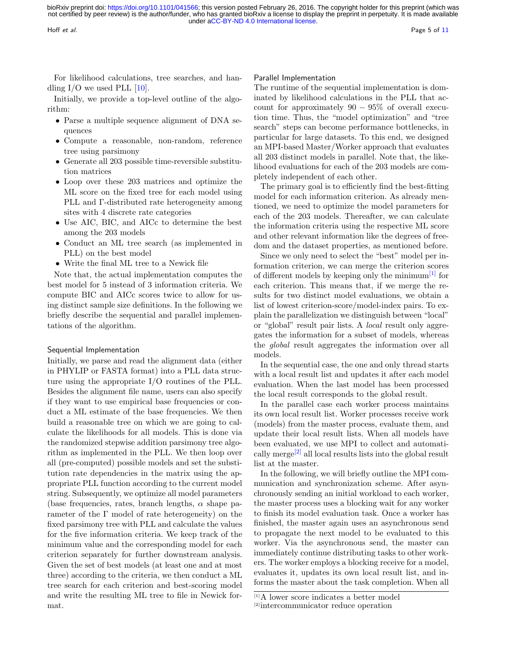Hoff et al. Page 5 of [11](#page-10-3)

For likelihood calculations, tree searches, and handling  $I/O$  we used PLL  $[10]$ .

Initially, we provide a top-level outline of the algorithm:

- Parse a multiple sequence alignment of DNA sequences
- Compute a reasonable, non-random, reference tree using parsimony
- Generate all 203 possible time-reversible substitution matrices
- Loop over these 203 matrices and optimize the ML score on the fixed tree for each model using PLL and Γ-distributed rate heterogeneity among sites with 4 discrete rate categories
- Use AIC, BIC, and AICc to determine the best among the 203 models
- Conduct an ML tree search (as implemented in PLL) on the best model
- Write the final ML tree to a Newick file

Note that, the actual implementation computes the best model for 5 instead of 3 information criteria. We compute BIC and AICc scores twice to allow for using distinct sample size definitions. In the following we briefly describe the sequential and parallel implementations of the algorithm.

#### Sequential Implementation

Initially, we parse and read the alignment data (either in PHYLIP or FASTA format) into a PLL data structure using the appropriate I/O routines of the PLL. Besides the alignment file name, users can also specify if they want to use empirical base frequencies or conduct a ML estimate of the base frequencies. We then build a reasonable tree on which we are going to calculate the likelihoods for all models. This is done via the randomized stepwise addition parsimony tree algorithm as implemented in the PLL. We then loop over all (pre-computed) possible models and set the substitution rate dependencies in the matrix using the appropriate PLL function according to the current model string. Subsequently, we optimize all model parameters (base frequencies, rates, branch lengths,  $\alpha$  shape parameter of the Γ model of rate heterogeneity) on the fixed parsimony tree with PLL and calculate the values for the five information criteria. We keep track of the minimum value and the corresponding model for each criterion separately for further downstream analysis. Given the set of best models (at least one and at most three) according to the criteria, we then conduct a ML tree search for each criterion and best-scoring model and write the resulting ML tree to file in Newick format.

### Parallel Implementation

The runtime of the sequential implementation is dominated by likelihood calculations in the PLL that account for approximately  $90 - 95\%$  of overall execution time. Thus, the "model optimization" and "tree search" steps can become performance bottlenecks, in particular for large datasets. To this end, we designed an MPI-based Master/Worker approach that evaluates all 203 distinct models in parallel. Note that, the likelihood evaluations for each of the 203 models are completely independent of each other.

The primary goal is to efficiently find the best-fitting model for each information criterion. As already mentioned, we need to optimize the model parameters for each of the 203 models. Thereafter, we can calculate the information criteria using the respective ML score and other relevant information like the degrees of freedom and the dataset properties, as mentioned before.

Since we only need to select the "best" model per information criterion, we can merge the criterion scores of different models by keeping only the minimum<sup>[\[1\]](#page-4-0)</sup> for each criterion. This means that, if we merge the results for two distinct model evaluations, we obtain a list of lowest criterion-score/model-index pairs. To explain the parallelization we distinguish between "local" or "global" result pair lists. A local result only aggregates the information for a subset of models, whereas the global result aggregates the information over all models.

In the sequential case, the one and only thread starts with a local result list and updates it after each model evaluation. When the last model has been processed the local result corresponds to the global result.

In the parallel case each worker process maintains its own local result list. Worker processes receive work (models) from the master process, evaluate them, and update their local result lists. When all models have been evaluated, we use MPI to collect and automati-cally merge<sup>[\[2\]](#page-4-1)</sup> all local results lists into the global result list at the master.

In the following, we will briefly outline the MPI communication and synchronization scheme. After asynchronously sending an initial workload to each worker, the master process uses a blocking wait for any worker to finish its model evaluation task. Once a worker has finished, the master again uses an asynchronous send to propagate the next model to be evaluated to this worker. Via the asynchronous send, the master can immediately continue distributing tasks to other workers. The worker employs a blocking receive for a model, evaluates it, updates its own local result list, and informs the master about the task completion. When all

<span id="page-4-1"></span><span id="page-4-0"></span><sup>[1]</sup>A lower score indicates a better model [2] intercommunicator reduce operation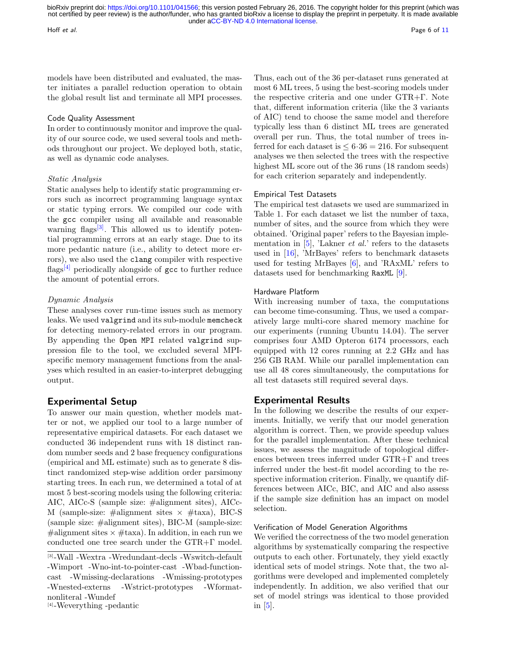models have been distributed and evaluated, the master initiates a parallel reduction operation to obtain the global result list and terminate all MPI processes.

#### Code Quality Assessment

In order to continuously monitor and improve the quality of our source code, we used several tools and methods throughout our project. We deployed both, static, as well as dynamic code analyses.

#### Static Analysis

Static analyses help to identify static programming errors such as incorrect programming language syntax or static typing errors. We compiled our code with the gcc compiler using all available and reasonable warning flags<sup>[\[3\]](#page-5-0)</sup>. This allowed us to identify potential programming errors at an early stage. Due to its more pedantic nature (i.e., ability to detect more errors), we also used the clang compiler with respective flags<sup>[\[4\]](#page-5-1)</sup> periodically alongside of gcc to further reduce the amount of potential errors.

#### Dynamic Analysis

These analyses cover run-time issues such as memory leaks. We used valgrind and its sub-module memcheck for detecting memory-related errors in our program. By appending the Open MPI related valgrind suppression file to the tool, we excluded several MPIspecific memory management functions from the analyses which resulted in an easier-to-interpret debugging output.

## Experimental Setup

To answer our main question, whether models matter or not, we applied our tool to a large number of representative empirical datasets. For each dataset we conducted 36 independent runs with 18 distinct random number seeds and 2 base frequency configurations (empirical and ML estimate) such as to generate 8 distinct randomized step-wise addition order parsimony starting trees. In each run, we determined a total of at most 5 best-scoring models using the following criteria: AIC, AICc-S (sample size: #alignment sites), AICc-M (sample-size:  $\#$ alignment sites  $\times$   $\#$ taxa), BIC-S (sample size: #alignment sites), BIC-M (sample-size: #alignment sites  $\times$  #taxa). In addition, in each run we conducted one tree search under the GTR+Γ model.

<span id="page-5-0"></span>[3] -Wall -Wextra -Wredundant-decls -Wswitch-default -Wimport -Wno-int-to-pointer-cast -Wbad-functioncast -Wmissing-declarations -Wmissing-prototypes -Wnested-externs -Wstrict-prototypes -Wformatnonliteral -Wundef

<span id="page-5-1"></span> $[4]$ -Weverything -pedantic

Thus, each out of the 36 per-dataset runs generated at most 6 ML trees, 5 using the best-scoring models under the respective criteria and one under GTR+Γ. Note that, different information criteria (like the 3 variants of AIC) tend to choose the same model and therefore typically less than 6 distinct ML trees are generated overall per run. Thus, the total number of trees inferred for each dataset is  $\leq 6.36 = 216$ . For subsequent analyses we then selected the trees with the respective highest ML score out of the 36 runs (18 random seeds) for each criterion separately and independently.

#### Empirical Test Datasets

The empirical test datasets we used are summarized in Table 1. For each dataset we list the number of taxa, number of sites, and the source from which they were obtained. 'Original paper' refers to the Bayesian implementation in  $[5]$ , 'Lakner *et al.*' refers to the datasets used in [\[16\]](#page-10-18), 'MrBayes' refers to benchmark datasets used for testing MrBayes [\[6\]](#page-10-8), and 'RAxML' refers to datasets used for benchmarking RaxML [\[9\]](#page-10-11).

### Hardware Platform

With increasing number of taxa, the computations can become time-consuming. Thus, we used a comparatively large multi-core shared memory machine for our experiments (running Ubuntu 14.04). The server comprises four AMD Opteron 6174 processors, each equipped with 12 cores running at 2.2 GHz and has 256 GB RAM. While our parallel implementation can use all 48 cores simultaneously, the computations for all test datasets still required several days.

## Experimental Results

In the following we describe the results of our experiments. Initially, we verify that our model generation algorithm is correct. Then, we provide speedup values for the parallel implementation. After these technical issues, we assess the magnitude of topological differences between trees inferred under GTR+Γ and trees inferred under the best-fit model according to the respective information criterion. Finally, we quantify differences between AICc, BIC, and AIC and also assess if the sample size definition has an impact on model selection.

## Verification of Model Generation Algorithms

We verified the correctness of the two model generation algorithms by systematically comparing the respective outputs to each other. Fortunately, they yield exactly identical sets of model strings. Note that, the two algorithms were developed and implemented completely independently. In addition, we also verified that our set of model strings was identical to those provided in [\[5\]](#page-10-7).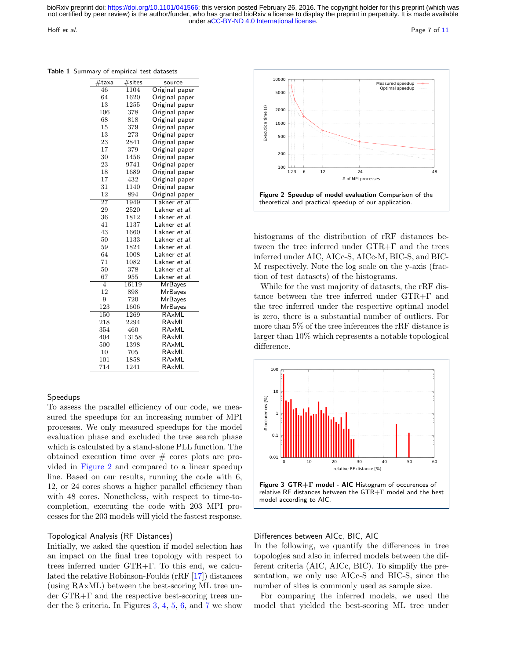Table 1 Summary of empirical test datasets

| $\overline{\#}$ taxa | $#$ sites | source               |  |  |
|----------------------|-----------|----------------------|--|--|
| 46                   | 1104      | Original<br>paper    |  |  |
| 64                   | 1620      | Original<br>paper    |  |  |
| 13                   | 1255      | Original<br>paper    |  |  |
| 106                  | 378       | Original<br>paper    |  |  |
| 68                   | 818       | Original<br>paper    |  |  |
| 15                   | 379       | Original<br>paper    |  |  |
| 13                   | 273       | Original<br>paper    |  |  |
| 23                   | 2841      | Original<br>paper    |  |  |
| 17                   | 379       | Original<br>paper    |  |  |
| 30                   | 1456      | Original<br>paper    |  |  |
| 23                   | 9741      | Original<br>paper    |  |  |
| 18                   | 1689      | Original<br>paper    |  |  |
| 17                   | 432       | Original<br>paper    |  |  |
| 31                   | 1140      | Original<br>paper    |  |  |
| 12                   | 894       | Original<br>paper    |  |  |
| $\overline{27}$      | 1949      | Lakner<br>$et$ al.   |  |  |
| 29                   | 2520      | Lakner <i>et al.</i> |  |  |
| 36                   | 1812      | Lakner et al.        |  |  |
| 41                   | 1137      | Lakner <i>et al.</i> |  |  |
| 43                   | 1660      | Lakner <i>et al.</i> |  |  |
| 50                   | 1133      | Lakner <i>et al.</i> |  |  |
| 59                   | 1824      | Lakner et al.        |  |  |
| 64                   | 1008      | Lakner et al.        |  |  |
| 71                   | 1082      | Lakner et al.        |  |  |
| 50                   | 378       | Lakner et al.        |  |  |
| 67                   | 955       | Lakner <i>et al.</i> |  |  |
| $\overline{4}$       | 16119     | <b>MrBayes</b>       |  |  |
| 12                   | 898       | <b>MrBayes</b>       |  |  |
| 9                    | 720       | <b>MrBayes</b>       |  |  |
| 123                  | 1606      | MrBayes              |  |  |
| 150                  | 1269      | RAxML                |  |  |
| 218                  | 2294      | RAxML                |  |  |
| 354                  | 460       | RAxML                |  |  |
| 404                  | 13158     | RAxML                |  |  |
| 500                  | 1398      | RAxML                |  |  |
| 10                   | 705       | RAxML                |  |  |
| 101                  | 1858      | RAxML                |  |  |
| 714                  | 1241      | RAxML                |  |  |

#### Speedups

To assess the parallel efficiency of our code, we measured the speedups for an increasing number of MPI processes. We only measured speedups for the model evaluation phase and excluded the tree search phase which is calculated by a stand-alone PLL function. The obtained execution time over # cores plots are provided in [Figure 2](#page-6-0) and compared to a linear speedup line. Based on our results, running the code with 6, 12, or 24 cores shows a higher parallel efficiency than with 48 cores. Nonetheless, with respect to time-tocompletion, executing the code with 203 MPI processes for the 203 models will yield the fastest response.

#### Topological Analysis (RF Distances)

Initially, we asked the question if model selection has an impact on the final tree topology with respect to trees inferred under GTR+Γ. To this end, we calculated the relative Robinson-Foulds (rRF [\[17\]](#page-10-19)) distances (using RAxML) between the best-scoring ML tree under GTR+Γ and the respective best-scoring trees under the 5 criteria. In Figures [3,](#page-6-1) [4,](#page-7-0) [5,](#page-7-1) [6,](#page-7-2) and [7](#page-7-3) we show



<span id="page-6-0"></span>histograms of the distribution of rRF distances between the tree inferred under GTR+Γ and the trees inferred under AIC, AICc-S, AICc-M, BIC-S, and BIC-M respectively. Note the log scale on the y-axis (fraction of test datasets) of the histograms.

While for the vast majority of datasets, the rRF distance between the tree inferred under GTR+Γ and the tree inferred under the respective optimal model is zero, there is a substantial number of outliers. For more than 5% of the tree inferences the rRF distance is larger than 10% which represents a notable topological difference.



<span id="page-6-1"></span>

#### Differences between AICc, BIC, AIC

In the following, we quantify the differences in tree topologies and also in inferred models between the different criteria (AIC, AICc, BIC). To simplify the presentation, we only use AICc-S and BIC-S, since the number of sites is commonly used as sample size.

For comparing the inferred models, we used the model that yielded the best-scoring ML tree under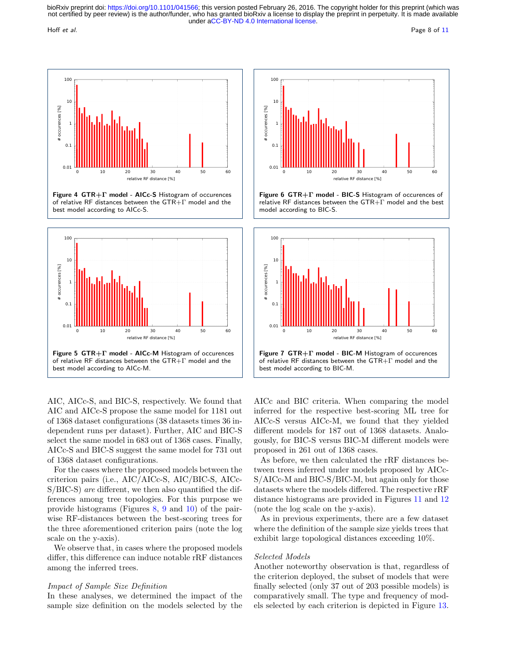10

100



<span id="page-7-0"></span>



<span id="page-7-1"></span>AIC, AICc-S, and BIC-S, respectively. We found that AIC and AICc-S propose the same model for 1181 out of 1368 dataset configurations (38 datasets times 36 independent runs per dataset). Further, AIC and BIC-S select the same model in 683 out of 1368 cases. Finally, AICc-S and BIC-S suggest the same model for 731 out of 1368 dataset configurations.

For the cases where the proposed models between the criterion pairs (i.e., AIC/AICc-S, AIC/BIC-S, AICc-S/BIC-S) are different, we then also quantified the differences among tree topologies. For this purpose we provide histograms (Figures [8,](#page-8-0) [9](#page-8-1) and [10\)](#page-8-2) of the pairwise RF-distances between the best-scoring trees for the three aforementioned criterion pairs (note the log scale on the y-axis).

We observe that, in cases where the proposed models differ, this difference can induce notable rRF distances among the inferred trees.

#### Impact of Sample Size Definition

In these analyses, we determined the impact of the sample size definition on the models selected by the



<span id="page-7-2"></span>



<span id="page-7-3"></span>AICc and BIC criteria. When comparing the model inferred for the respective best-scoring ML tree for AICc-S versus AICc-M, we found that they yielded different models for 187 out of 1368 datasets. Analogously, for BIC-S versus BIC-M different models were proposed in 261 out of 1368 cases.

As before, we then calculated the rRF distances between trees inferred under models proposed by AICc-S/AICc-M and BIC-S/BIC-M, but again only for those datasets where the models differed. The respective rRF distance histograms are provided in Figures [11](#page-8-3) and [12](#page-9-0) (note the log scale on the y-axis).

As in previous experiments, there are a few dataset where the definition of the sample size yields trees that exhibit large topological distances exceeding 10%.

#### Selected Models

Another noteworthy observation is that, regardless of the criterion deployed, the subset of models that were finally selected (only 37 out of 203 possible models) is comparatively small. The type and frequency of models selected by each criterion is depicted in Figure [13.](#page-9-1)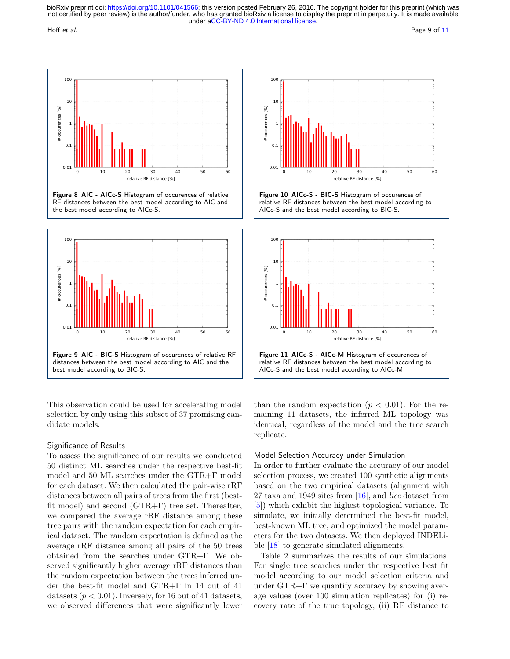

<span id="page-8-0"></span>



<span id="page-8-1"></span>This observation could be used for accelerating model selection by only using this subset of 37 promising candidate models.

#### Significance of Results

To assess the significance of our results we conducted 50 distinct ML searches under the respective best-fit model and 50 ML searches under the GTR+Γ model for each dataset. We then calculated the pair-wise rRF distances between all pairs of trees from the first (bestfit model) and second (GTR+Γ) tree set. Thereafter, we compared the average rRF distance among these tree pairs with the random expectation for each empirical dataset. The random expectation is defined as the average rRF distance among all pairs of the 50 trees obtained from the searches under GTR+Γ. We observed significantly higher average rRF distances than the random expectation between the trees inferred under the best-fit model and GTR+Γ in 14 out of 41 datasets ( $p < 0.01$ ). Inversely, for 16 out of 41 datasets, we observed differences that were significantly lower



<span id="page-8-2"></span>



<span id="page-8-3"></span>than the random expectation  $(p < 0.01)$ . For the remaining 11 datasets, the inferred ML topology was identical, regardless of the model and the tree search replicate.

## Model Selection Accuracy under Simulation

In order to further evaluate the accuracy of our model selection process, we created 100 synthetic alignments based on the two empirical datasets (alignment with 27 taxa and 1949 sites from [\[16\]](#page-10-18), and lice dataset from [\[5\]](#page-10-7)) which exhibit the highest topological variance. To simulate, we initially determined the best-fit model, best-known ML tree, and optimized the model parameters for the two datasets. We then deployed INDELible [\[18\]](#page-10-20) to generate simulated alignments.

Table 2 summarizes the results of our simulations. For single tree searches under the respective best fit model according to our model selection criteria and under GTR+Γ we quantify accuracy by showing average values (over 100 simulation replicates) for (i) recovery rate of the true topology, (ii) RF distance to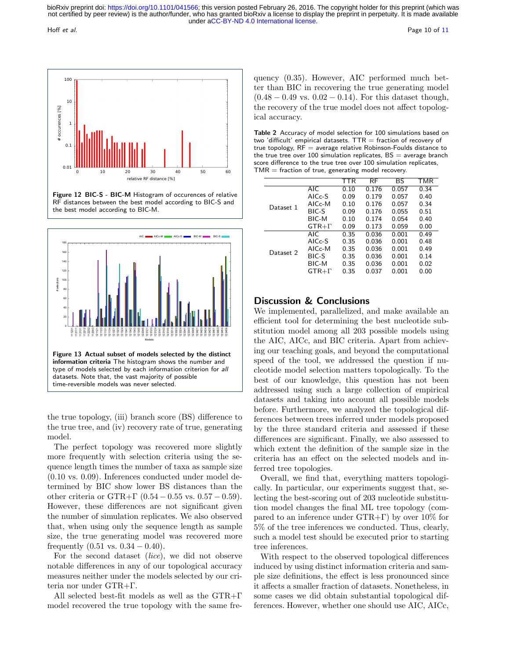Hoff et al. Page 10 of [11](#page-10-3)



<span id="page-9-0"></span>



<span id="page-9-1"></span>the true topology, (iii) branch score (BS) difference to the true tree, and (iv) recovery rate of true, generating model.

The perfect topology was recovered more slightly more frequently with selection criteria using the sequence length times the number of taxa as sample size (0.10 vs. 0.09). Inferences conducted under model determined by BIC show lower BS distances than the other criteria or  $GTR+ \Gamma (0.54 - 0.55 \text{ vs. } 0.57 - 0.59).$ However, these differences are not significant given the number of simulation replicates. We also observed that, when using only the sequence length as sample size, the true generating model was recovered more frequently  $(0.51 \text{ vs. } 0.34 - 0.40)$ .

For the second dataset *(lice)*, we did not observe notable differences in any of our topological accuracy measures neither under the models selected by our criteria nor under GTR+Γ.

All selected best-fit models as well as the GTR+Γ model recovered the true topology with the same fre-

quency (0.35). However, AIC performed much better than BIC in recovering the true generating model  $(0.48 - 0.49 \text{ vs. } 0.02 - 0.14)$ . For this dataset though, the recovery of the true model does not affect topological accuracy.

Table 2 Accuracy of model selection for 100 simulations based on two 'difficult' empirical datasets.  $TTR =$  fraction of recovery of true topology,  $RF =$  average relative Robinson-Foulds distance to the true tree over 100 simulation replicates,  $BS = average$  branch score difference to the true tree over 100 simulation replicates,  $TMR =$  fraction of true, generating model recovery.

|           |                     | TTR  | RF      | <b>BS</b> | TMR  |
|-----------|---------------------|------|---------|-----------|------|
| Dataset 1 | <b>AIC</b>          | 0.10 | 0.176   | 0.057     | 0.34 |
|           | AIC <sub>c</sub> -S | 0.09 | 0.179   | 0.057     | 0.40 |
|           | $AICc-M$            | 0.10 | በ 176   | 0.057     | 0.34 |
|           | BIC-S               | 0.09 | 0.176   | 0.055     | 0.51 |
|           | <b>BIC-M</b>        | 0.10 | 0 1 7 4 | 0.054     | 0.40 |
|           | $GTR + \Gamma$      | 0.09 | 0.173   | 0.059     | 0.00 |
| Dataset 2 | AIC.                | 0.35 | 0.036   | 0.001     | 0.49 |
|           | AIC <sub>c</sub> -S | 0.35 | 0.036   | 0.001     | 0.48 |
|           | $AICc-M$            | 0.35 | 0.036   | 0.001     | 0.49 |
|           | BIC-S               | 0.35 | 0.036   | 0.001     | 0.14 |
|           | <b>BIC-M</b>        | 0.35 | 0.036   | 0.001     | 0.02 |
|           | $GTR + \Gamma$      | 0.35 | 0.037   | 0.001     | 0.00 |
|           |                     |      |         |           |      |

# Discussion & Conclusions

We implemented, parallelized, and make available an efficient tool for determining the best nucleotide substitution model among all 203 possible models using the AIC, AICc, and BIC criteria. Apart from achieving our teaching goals, and beyond the computational speed of the tool, we addressed the question if nucleotide model selection matters topologically. To the best of our knowledge, this question has not been addressed using such a large collection of empirical datasets and taking into account all possible models before. Furthermore, we analyzed the topological differences between trees inferred under models proposed by the three standard criteria and assessed if these differences are significant. Finally, we also assessed to which extent the definition of the sample size in the criteria has an effect on the selected models and inferred tree topologies.

Overall, we find that, everything matters topologically. In particular, our experiments suggest that, selecting the best-scoring out of 203 nucleotide substitution model changes the final ML tree topology (compared to an inference under GTR+Γ) by over 10% for 5% of the tree inferences we conducted. Thus, clearly, such a model test should be executed prior to starting tree inferences.

With respect to the observed topological differences induced by using distinct information criteria and sample size definitions, the effect is less pronounced since it affects a smaller fraction of datasets. Nonetheless, in some cases we did obtain substantial topological differences. However, whether one should use AIC, AICc,